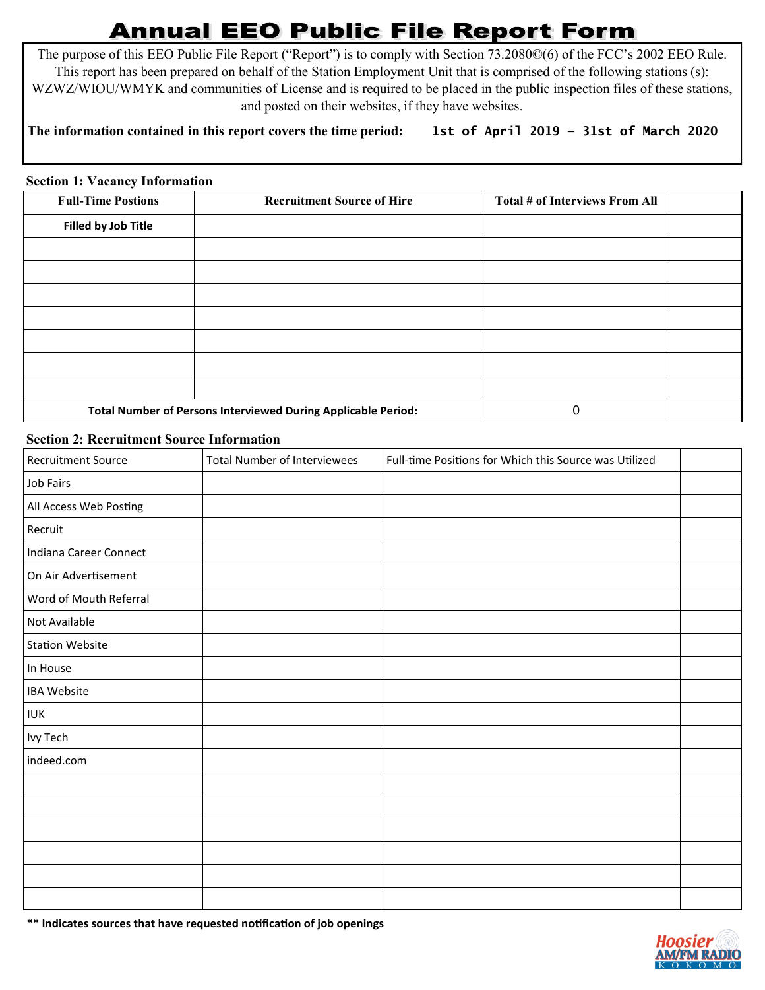# **Annual EEO Public File Report Form**

The purpose of this EEO Public File Report ("Report") is to comply with Section 73.2080©(6) of the FCC's 2002 EEO Rule. This report has been prepared on behalf of the Station Employment Unit that is comprised of the following stations (s): WZWZ/WIOU/WMYK and communities of License and is required to be placed in the public inspection files of these stations, and posted on their websites, if they have websites.

## **The information contained in this report covers the time period: 1st of April 2019 — 31st of March 2020**

#### **Section 1: Vacancy Information**

| <b>Full-Time Postions</b>                                     | <b>Recruitment Source of Hire</b> | Total # of Interviews From All |  |
|---------------------------------------------------------------|-----------------------------------|--------------------------------|--|
| Filled by Job Title                                           |                                   |                                |  |
|                                                               |                                   |                                |  |
|                                                               |                                   |                                |  |
|                                                               |                                   |                                |  |
|                                                               |                                   |                                |  |
|                                                               |                                   |                                |  |
|                                                               |                                   |                                |  |
|                                                               |                                   |                                |  |
| Total Number of Persons Interviewed During Applicable Period: |                                   | 0                              |  |

#### **Section 2: Recruitment Source Information**

| <b>Recruitment Source</b> | <b>Total Number of Interviewees</b> | Full-time Positions for Which this Source was Utilized |  |
|---------------------------|-------------------------------------|--------------------------------------------------------|--|
| Job Fairs                 |                                     |                                                        |  |
| All Access Web Posting    |                                     |                                                        |  |
| Recruit                   |                                     |                                                        |  |
| Indiana Career Connect    |                                     |                                                        |  |
| On Air Advertisement      |                                     |                                                        |  |
| Word of Mouth Referral    |                                     |                                                        |  |
| Not Available             |                                     |                                                        |  |
| <b>Station Website</b>    |                                     |                                                        |  |
| In House                  |                                     |                                                        |  |
| <b>IBA Website</b>        |                                     |                                                        |  |
| <b>IUK</b>                |                                     |                                                        |  |
| Ivy Tech                  |                                     |                                                        |  |
| indeed.com                |                                     |                                                        |  |
|                           |                                     |                                                        |  |
|                           |                                     |                                                        |  |
|                           |                                     |                                                        |  |
|                           |                                     |                                                        |  |
|                           |                                     |                                                        |  |
|                           |                                     |                                                        |  |

**\*\* Indicates sources that have requested notification of job openings**